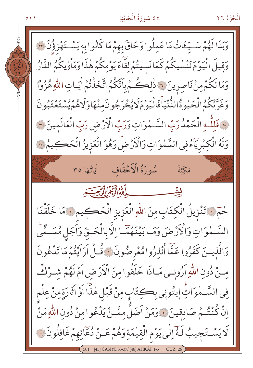#### ٥٤ سُورَةُ الْجَاثِيَةِ

 $0 \cdot 1$ 

الْجُزْءُ ٢٦



**ASIYE 33-37/ [46] AHKÂF 1-5**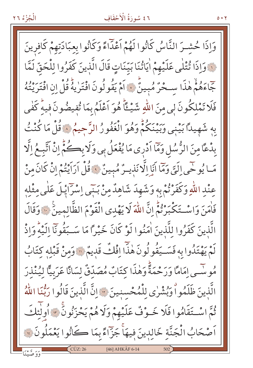# ٤٦ سُورَةُ الْأَحْقَافِ

وَاذَا حُشـرَ النَّاسُ كَانُوا لَهُمْ اَعْذَاءً وَكَانُوا بِعِبَادَتِهِمْ كَافِرِينَ قَ وَإِذَا ثُنْلَى عَلَيْهِمْ اٰيَاتُنَا بَيِّنَاتٍ قَالَ الَّذِينَ كَفَرُوا لِلْحَقِّ لَمَّا جَّاءَهُمْ هٰذَا سَحْرٌ مُبِينٌ ۚ إِذَا مَقُولُونَ افْتَرٰيهُ قُلْ إِنِ افْتَرِيْتُهُ فَلَا تَمْلِكُونَ لِي مِنَ اللَّهِ شَيْــــًاَّ هُوَ اَعْلَمُ بِمَا تُفيضُونَ فيه كَفي بِهِ شَهِيدًا بَيْنِي وَبَيْنَكُمْ وَهُوَ الْغَفُورُ الرَّحِيمُ ۞ قُلْ مَا كُنْتُ بِدْعًا مِنَ الرُّسُلِ وَمَّا اَدْرِي مَا يُفْعَلُ بِي وَلَا بِصَحُّمٍّ إِنْ اَتَّبِـعُ إِلَّا مَـا يُوحِّى إِلَيَّ وَمَّا أَيَا إِلَّا نَذِيـرٌ مُبِينٌ ﴾ قُلْ أَرَاَيْتُمْ إِنْ كَانَ مِنْ عِنْدِ اللَّهِ وَكَفَرْتُمْ بِهِ وَشَهِدَ شَاهِدٌ مِنْ بَنَى إِسْرَايْلَ عَلَى مِثْلِهِ فَأْمَنَ وَاسْتَكْبَرْنَّمُ إِنَّ اللَّهَ لَا يَهْدِى الْقَوْمَ الظَّالِمِينَ ﴾ وَقَالَ الَّذينَ كَفَرُوا للَّذينَ اٰمَنُوا لَوْ كَانَ خَيْرًا مَا سَـبَقُونَآ اِلَيْهِۚ وَاِذْ لَمْ يَهْتَدُوا بِهِ فَسَيَقُولُونَ هٰذَا إِفْكٌ قَدِيمٌ ۚ " وَمِنْ قَبْلِهِ كِتَابُ مُو سِّـى امَامًا وَرَحْمَةً وَهٰذَا كتَابٌ مُصَدّقٌ لِسَانًا عَرَبيًّا لِيُنْذِرَ الَّذِينَ ظَلَمُواْ وَبُشْرٰى لِلْمُحْسنِينَ ۞ إِنَّ الَّذِينَ قَالُوا رَبُّنَا اللَّهُ ثُمَّ اسْتَقَامُوا فَلَا خَـوْفٌ عَلَيْهِمْ وَلَا هُمْ يَحْزَنُونَ ۚ ﴾ أُولَٰئَكَ اَصْحَابُ الْجَنَّةِ خَالِدِينَ فِيهَاْ جَزّاءً بِمَا كَانُوا يَعْمَلُونَ ۞ CÜZ: 26 [46] AHKÂF 6-14

الْجُزْءُ ٢٦

 $0.17$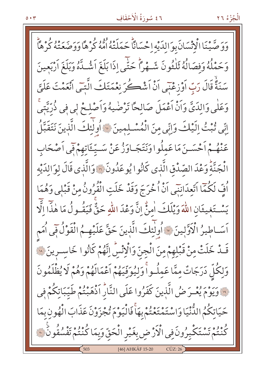# ٤٦ سُورَةُ الْأَحْقَافِ

الْجُزْءُ ٢٦

وَوَصَّيْنَا الْإِنْسَانَ بِوَالِدَيْهِ إِحْسَانَاً حَمَلَتْهُ أُمُّهُ كُرْهًا وَوَصْعَتْهُ كُرْهَاً وَحَمْلُهُ وَفِصَالُهُ ثَلْثُونَ شَـهْراً حَتَّى اذَا بَلَغَ اَشُـلَّهُ وَبَلَغَ اَرْبَعينَ سَنَةً قَالَ رَبِّ أَوْزِعْنِي أَنْ أَشْكُرَ نِعْمَتَكَ الَّتِي أَنْعَمْتَ عَلَيَّ وَعَلٰى وَالذَيَّ وَاَنْ اَعْمَلَ صَالِحًا تَرْضٰيهُ وَاَصْلِحْ لِي فِي ذُرِّيَّتِيْ إِنِّي ثُبْتُ إِلَيْكَ وَإِنِّي مِنَ الْمُسْلِمِينَ ﴾ أُولٰئِكَ الَّذِينَ نَتَقَبَّلُ عَنْهُمْ أَحْسَىنَ مَا عَمِلُوا وَنَتَجَـاوَزْ عَنْ سَـيِّـئَاتِهِمْ فَبِي أَصْحَابِ الْجَنَّةُ وَعْدَ الصَّدْقِ الَّذِي كَانُوا يُوعَدُونَ ۞ وَالَّذِي قَالَ لوَالدَيْه أَفِّ لَكُمَّا اَتَّعِدَانِنِي اَنْ أُخْرَجَ وَقَدْ خَلَتِ الْقُرُونُ مِنْ قَبْلِي وَهُمَا يَسْتَغِيثَانِ اللَّهَ وَيْلَكَ امِنّْ إِنَّ وَعْدَ اللَّهِ حَقٌّ فَيَقُـولُ مَا هٰذَّا الَّا اَسَـاطِيرُ الْأَوَّلِينَ ﴾ أُولٰئِكَ الَّذِينَ حَقَّ عَلَيْهِـمُ الْقَوْلُ فِي أُمَم قَـدْ خَلَتْ مِنْ قَبْلِهِمْ مِنَ الْجِنّ وَالْإِنْسِ اِنَّهُمْ كَانُوا خَاسِـرِينَ ۞ وَلِكُلِّ دَرَجَاتٌ مِمَّا عَمِلُواْ وَلِيُوَفِّيَهُمْ أَعْمَالَهُمْ وَهُمْ لَا يُظْلَمُونَ وَ وَيَوْمَ يُعْـرَ ضُ الَّذِينَ كَفَرُوا عَلَى النَّارُ اَذْهَبْتُمْ طَيِّبَاتِكُمْ فِي حَيَاتِكُمُ الدُّّنْيَا وَاسْتَمْتَعْتُمْ بِهَأْ فَالْيَوْمَ تُجْزَوْنَ عَذَابَ الْهُونِ بِمَا كُنْتُمْ تَسْتَكْبِرُونَ فِي الْأَرْضِ بِغَيْرِ الْحَقِّ وَبِمَا كُنْتُمْ تَفْسُقُونَ ۞ [46] AHKÂF 15-20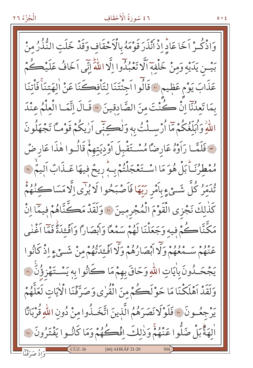#### ٤٦ سُورَةُ الْأَحْقَافِ

وَاذْكُـرْ اَخَا عَادٍّ إِذْ اَنْذَرَ قَوْمَهُ بِالْأَحْقَاف وَقَدْ خَلَتِ الثُّذُرُ مِنْ بَيْـنِ يَدَيْهِ وَمِنْ خَلْفِهِ اَلَّا تَعْبُدُوا إِلَّا اللَّهَ إِنِّي اَخَافُ عَلَيْڪُمْ عَذَابَ يَوْمٍ عَظِيمٍ ۞ قَالُوا اَجِئْتَنَا لِتَأْفِكَنَا عَنْ اٰلِهَتِنَا فَأْتِنَا بِمَا تَعِدُّنَا إِنْ كُنْتَ مِنَ الصَّادقِينَ \* قَالَ إِنَّمَا الْعِلْمُ عِنْدَ اللَّهِ وَأَبَلَّغُكُمْ مَا أَرْسِـلْتُ بِهِ وَلْڪنِّي اَرِيكُمْ قَوْمـَّا تَجْهَلُونَ حَ فَلَمَّا رَأَوْهُ عَارِضًا مُسْتَقْبِلَ أَوْدِيَتِهِمْ قَالُوا هٰذَا عَارِضٌ مُمْطِرُنَـاً بَلْ هُوَ مَا اسْـتَعْجَلْتُمْ بِـهِ رِيحٌ فِيهَا عَـذَابٌ اَلِيمٌ \*\* تُدَمِّرُ كُلَّ شَئْءٍ بِأَمْرِ رَبِّهَا فَأَصْبَحُوا لَا يُزَّى إِلَّا مَسَاكِنُهُمْ كَذٰلِكَ نَجْزى الْقَوْمَ الْمُجْرِمِينَ ۞ وَلَقَدْ مَكَّنَّاهُمْ فِيمَّا اِنْ مَكَّنَّاكُمْ فِيهِ وَجَعَلْنَا لَهُمْ سَمْعًا وَابْصَارًا وَاَفْعَدَةً فَمَّا اَغْنٰى عَنْهُمْ سَـهْغُهُمْ وَلَّا أَبْصَارُهُمْ وَلَّا أَفْـئَدَّتُهُمْ مِنْ شَـئِ ءِ اِذْ كَانُوا يَجْحَـٰدُونَ بِاٰيَاتِ اللّٰهِ وَحَاقَ بِهِمْ مَا كَانُوا بِهِ يَسْـتَهْزِؤُنَّ ٣ وَلَقَدْ اَهْلَكْنَا مَا حَوْلَكُمْ مِنَ الْقُرٰى وَصَرَّفْنَا الْأَيَاتِ لَعَلَّهُمْ يَرْجِعُــونَ ۞ فَلَوْلَا نَصَرَهُمُ الَّذِينَ اتَّخَــذُوا مِنْ دُونِ اللّٰهِ قُرْبَانًا اْلِهَةً بَلْ ضَلُّوا عَنْهُمْ وَذٰلِكَ اِفْكُهُمْ وَمَا كَانُوا يَفْتَرُونَ ۞ [46] AHKÂF 21-28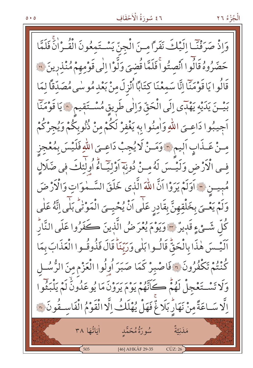#### ٤٦ سُورَةُ الْأَحْقَافِ

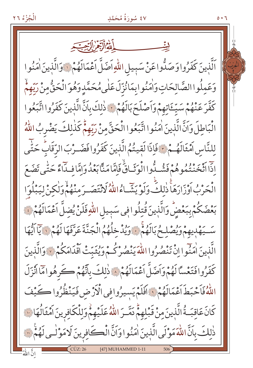الْجُزْءُ ٢٦

٤٧ سُورَةُ مُحَمَّدٍ

ٱلَّذِينَ كَفَرُوا وَصَدُّوا عَنْ سَبِيلِ اللَّهِ اَضَلَّ اَعْمَالَهُمْ لَاوَالَّذِينَ اٰمَنُوا وَعَمِلُواالصَّالِحَاتِ وَاٰمَنُوابِمَانُزِّلَ عَلٰى مُحَمَّدِ وَهُوَ الْحَقُّ مِنْ رَبِّهِمْ كَفَّرَ عَنْهُمْ سَيِّۓتِهِمْ وَأَصْلَحَ بَالَهُمْ فَ ذٰلِكَ بِأَنَّ الَّذِينَ كَفَرُوا اتَّبَعُوا الْبَاطِلَ وَإِنَّ الَّذِينَ اٰمَنُوا اتَّبَعُوا الْحَقَّ منْ رَبِّهِمّْ كَذٰلِكَ يَضْرِبُ اللَّهُ لِلنَّاسِ اَمْثَالَهُـمْ ﴾ فَإِذَا لَقِيتُمُ الَّذِينَ كَفَرُوا فَضَـرْبَ الرَّقَابُ حَتَّى اذاً اتْخَنْتُهُوهُمْ فَشُـدُّوا الْوَثَـاقُّ فَإِمَّا مَنَّا بَعْدُوَامَّا فِـدَاءً حَتّٰبِي تَضَعَ الْحَرْبُ اَوْزَارَهَاۚ ذٰلِكَّ وَلَوْ يَشَّاءُ اللَّهُ لَانْتَصَـرَ مِنْهُمْ وَلٰكِنْ لِيَبْلُوَا بَعْضَكُمْ بِبَعْضٍ وَالَّذِينَ قُتِلُوا فِي سَبِيلِ اللَّهِ فَلَنْ يُضِلَّ اَعْمَالَهُمْ فَ سَيَهْدِيهِمْ وَيُصْلِحُ بَالَهُمْ ﴾ وَيُدْخِلُهُمُ الْجَنَّةَ عَرَّفَهَا لَهُمْ ﴾ يَآ اَيُّهَا الَّذِينَ اٰمَنُوا اِنْ تَنْصُرُوا اللَّهَ يَنْصُرْكُمْ وَيُثَبّتْ أَقْدَامَكُمْ ۞ وَالَّذِينَ كَفَرُوا فَتَعْسَّا لَهُمْ وَاَضَلَّ اَعْمَالَهُمْ ﴾ ذٰلكَ بِاتَّهُمْ ڪَرِهُوا مَا اُنْزَلَ اللَّهُ فَاَحْبَطَ اَعْمَالَهُمْ وَ اَفَلَمْ يَسِيرُوافِي الْأَرْضِ فَيَنْظُرُوا كَيْفَ كَانَ عَاقِبَةُ الَّذِينَ مِنْ قَبْلِهِمْ دَمَّـرَ اللّهُ عَلَيْهِمْ وَلِلْكَافِرِينَ اَمْثَالُهَا نَ ذٰلكَ بِأَنَّ اللَّهَ مَوْلَى الَّذِينَ اٰمَنُوا وَأَنَّ الْكَافِرِينَ لَا مَوْلَى لَهُمْ لِلَّهَ

 $0.7$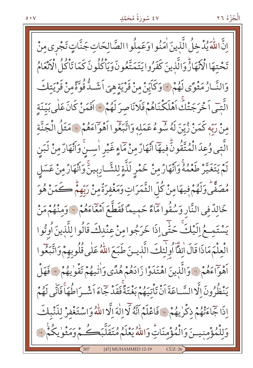#### ٤٧ سُورَةُ مُحَمَّدٍ

الْجُزْءُ ٢٦

انَّ اللّٰهَ يُدْخِلُ الَّذينَ اٰمَنُوا وَعَمِلُوا الصَّالِحَاتِ جَنَّاتٍ تَجْرِى مِنْ تَحْتِهَا الْأَنْهَارُّ وَالَّذِينَ كَفَرُوا يَتَمَتَّعُونَ وَيَاْكُلُونَ كَمَا تَاْكُلُ الْأَنْعَامُ وَالنَّـارُ مَثْوًى لَهُمْ ۚ وَكَايِّنْ مِنْ قَرِيَةٍ هِيَ اَشَــدٌّ قُوَّةً مِنْ قَرْيَتِكَ الَّتِّي اَحْرَجَتْكَ اَهْلَكْنَاهُمْ فَلَانَاصِرَ لَهُمْ لَا اَفَمَنْ كَانَ عَلٰى بَيِّنَةٍ منْ رَبِّه كَمَنْ زُيِّنَ لَهُ سُوءُ عَمَلِهِ وَاتَّبَعُوا أَهْوَاءَهُمْ ۚ مَثَلُ الْجَنَّةِ الَّتِي وُعِدَ الْمُتَّقُونَ فِيهَا انْهَارُ مِنْ مَاءٍ غَيْرِ اٰسِـنَّ وَانْهَارُ مِنْ لَبَنِ لَمْ يَتَغَيَّرْ طَعْمُهُ وَأَنْهَارُ مِنْ خَمْرٍ لَذَّةٍ لِلشَّارِبِينَ وَأَنْهَارُ مِنْ عَسَلٍ مُصَفَّى وَلَهُمْ فِيهَا مِنْ كُلِّ الثَّمَرَاتِ وَمَغْفِرَةٌ مِنْ رَبِّهِمْ كَمَنْ هُوَ خَالِدٌ فِي النَّارِ وَسُقُواهَاءً حَمِيمًا فَقَطَّعَ اَمْعَاءَهُمْ ﴾ وَمنْهُمْ مَنْ يَسْتَمِعُ إِلَيْكَ حَتَّى إِذَا خَرَجُوا مِنْ عِنْدِكَ قَالُوا لِلَّذِينَ أُوتُوا الْعِلْمَ مَاذَا قَالَ اٰنِفًّآ اُولَّنِكَ الَّذِينَ طَبَعَ اللَّهُ عَلَى قُلُوبِهِمْ وَاتَّبَعُوا أَهْوَاءَهُمْ لِلْوَالَّذِينَ اهْتَدَوْا زَادَهُمْ هُدًى وَاٰتِيهُمْ تَقُوٰيهُمْ لِلْافَهَلْ يَنْظُرُونَ إِلَّا السَّـاعَةَ أَنْ تَأْتِيَهُمْ بَغْتَةً فَقَدْ جَاءَ أَشْـرَاطُهَأَ فَأَنِّي لَهُمْ إِذَا جَاءَتْهُمْ ذِكْرٰ يِهُمْ » فَاعْلَمْ أَنَّهُ لَا إِلٰهَ إِلَّا اللَّهُ وَاسْتَغْفِرْ لِذَنْبِكَ وَلِلْمُؤْمِنِيسَ وَالْمُؤْمِنَاتِ وَاللَّهُ يَعْلَمُ مُتَقَلَّبَكُمْ وَمَثْوٰ يِكُمّْ ۚ وَا [47] MUHAMMED 12-19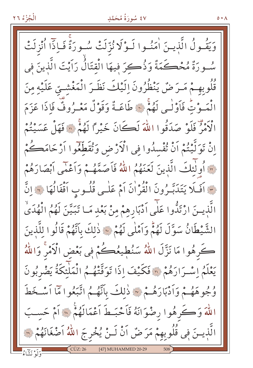## ٤٧ سُورَةُ مُحَمَّدِ

وَيَقُولُ الَّذِينَ اٰمَنُوا لَـوْلَا نُزِّلَتْ سُـورَةٌ فَـاِذَا اُنْزِلَتْ سُورَةٌ مُحْكَمَةٌ وَذُكِرَ فيهَا الْقتَالُ رَاَيْتَ الَّذينَ في قُلُوبِهِمْ مَرَضٌ يَنْظُرُونَ إِلَيْكَ نَظَرَ الْمَغْشَىِّ عَلَيْهِ مِنَ الْمَوْتِ فَأَوْلَى لَهُمْ ﴾ طَاعَـةٌ وَقَوْلٌ مَعْـرُوفٌ فَاذَا عَزَمَ الْأَمْرُ فَلَوْ صَدَقُوا اللَّهَ لَكَانَ خَيْراً لَهُمْ ۞ فَهَلْ عَسَيْتُمْ إِنْ تَوَلَّيْتُمْ أَنْ تُفْسِدُوا فِي الْأَرْضِ وَتُقَطِّعُوا أَرْحَامَكُمْ قَ أُولَٰئِكَ الَّذِينَ لَعَنَهُمُ اللَّهُ فَأَصَمَّهُمْ وَأَعْمَى أَبْصَارَهُمْ حَ اَفَلَا يَتَدَبَّـرُونَ الْقُرْاٰنَ اَمْ عَلٰـى قُلُـوبِ اَقْفَالُهَا ﴾ إنَّ الَّذينَ ارْتَدُّوا عَلَى اَدْبَارِهِمْ مِنْ بَعْدِ مَـا تَبَيَّنَ لَهُمُ الْهُدَىٰ الشَّيْطَانُ سَوَّلَ لَهُمْ وَأَمْلَى لَهُمْ \* ذٰلِكَ بِأَنَّهُمْ قَالُوا لِلَّذِينَ كَرِهُوا مَا نَزَّلَ اللَّهُ سَنُطِيعُكُمْ فِي بَعْضِ الْآمْرِ وَاللَّهُ يَعْلَمُ إِسْرَارَهُمْ لَّ فَكَيْفَ إِذَا تَوَفَّتْهُمُ الْمَلْئِكَةُ يَضْرِبُونَ وُجُوهَهُمْ وَأَدْبَارَهُمْ ۞ ذَلِكَ بِأَنَّهُمُ اتَّبَعُوا مَّا أَسْخَطَ اللَّهَ وَكَرِهُوا رِضْوَانَهُ فَأَحْبَطَ أَعْمَالَهُمْ ۞ أَمْ حَسَبَ الَّذِينَ فِي قُلُوبِهِمْ مَرَ ضُ اَنْ لَـنْ يُخْرِجَ اللَّهُ اَصْغَانَهُمْ لِنَّ [47] MUHAMMED 20-29

 $\circ \cdot \wedge$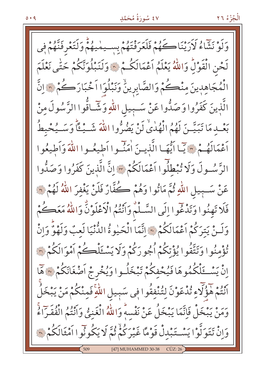$0.49$ 

## ٤٧ سُورَةُ مُحَمَّدِ

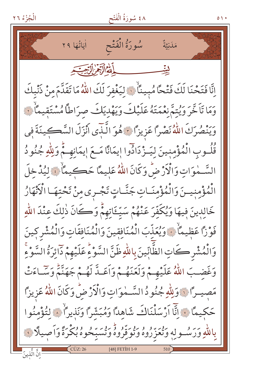سُورَةُ الْفَتْحِ اٰ يَاتُهَا ٢٩ مَدَنِيَّةٌ الله الآخرال يحيد إِنَّا فَتَحْنَا لَكَ فَتْحًا مُبِينًا ۚ ۚ لِيَغْفِرَ لَكَ اللَّهُ مَا تَقَلَّمَ مِنْ ذَنْبِكَ وَمَا تَأَخَّرَ وَيُتَمَّ نَعْمَتَهُ عَلَيْكَ وَيَهْديَكَ صرَاطاً مُسْتَقِيمَاْ نَ وَيَنْصُرَكَ اللَّهُ نَصْرًا عَزِيزًا ﴾ هُوَ الَّذِّي أَنْزَلَ السَّكِينَةَ فِي قُلُوبِ الْمُؤْمِنِينَ لِيَـزْدَادُوا إِيمَانًا مَـعَ إِيمَانِهِـمْ وَلِلّهِ جُنُودُ السَّـٰمٰوَاتِ وَالْأَرْضُ وَكَانَ اللَّهُ عَلِيمًا حَكِيمًا ۚ ۚ لِيُدْخِلَ الْمُؤْمِنِيسَ وَالْمُؤْمِنَـاتِ جَنَّـاتٍ تَجْـرى مِنْ تَحْتِهَـا الْأَنْهَارُ خَالِدِينَ فِيهَا وَيُكَفِّرَ عَنْهُمْ سَيِّئَاتِهِمْ وَكَانَ ذٰلِكَ عِنْدَ اللّهِ فَوْزًا عَظِيمًا ۚ ﴾ وَيُعَذَّبَ الْمُنَافِقِينَ وَالْمُنَافِقَاتِ وَالْمُشْرِكِينَ وَالْمُشْرِ كَاتِ الظَّابِّينَ بِاللّهِ ظَنَّ السَّوْءِ عَلَيْهِمْ ذَائِرَةُ السَّوْءِ وَغَضِبَ اللَّهُ عَلَيْهِـمْ وَلَعَنَهُـمْ وَاَعَـدَّ لَهُـمْ جَهَنَّمْ وَسَـاءَتْ مَصِيراً فَوَلِلَّهِ جُنُودُ السَّمْوَاتِ وَالْأَرْضُ وَكَانَ اللَّهُ عَزِيزاً حَكِيمًا ﴾ إِنَّا أَرْسَلْنَاكَ شَاهِدًا وَمُبَشَّرًا وَنَذِيرًا ﴾ لِتُؤْمِنُوا بِاللَّهِ وَرَسُولِهِ وَتُعَزَّرُوهُ وَتُوَقَّرُوهُ وَتُسَبِّحُوهُ بُكْرَةً وَأَصِيلًا فَ ا<br>إِنَّ الَّذِينَ [48] FETIH 1-9

 $\circ \wedge \cdot$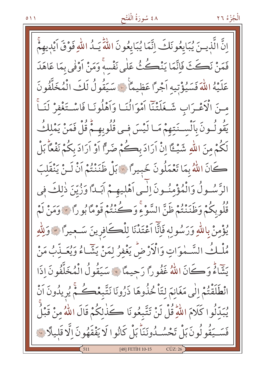# ٤٨ سُورَةُ الْفَتْح

إِنَّ الَّذِينَ يُبَايِعُونَكَ إِنَّمَا يُبَايِعُونَ اللَّهَ يَـٰدُ اللَّهِ فَوْقَ أَيْدِيهِمْ فَمَنْ نَكَثَ فَاتَّمَا يَنْكُثُ عَلَى نَفْسِهِ وَمَنْ اَوْفَى بِمَا عَاهَدَ عَلَيْهُ اللَّهَ فَسَيُؤْتِيهِ اَجْرًا عَظِيمًا ۚ لَا سَيَقُولُ لَكَ الْمُخَلَّفُونَ مـنَ الْأَعْـرَابِ شَـغَلَتْنَا اَمْوَالُنَـا وَاَهْلُونَـا فَاسْـتَغْفِرْ لَنَـاً يَقُولُـونَ بِٱلْســنَتِهِمْ مَـا لَيْسَ فِـي قُلُوبِهِـمْ قُلْ فَمَنْ يَمْلِكُ لَكُمْ مِنَ اللَّهِ شَيْــقًا إِنْ آرَادَ بِكُمْ ضَرًّا أَوْ آرَادَ بِكُمْ نَفْعًاْ بَلْ كَانَ اللَّهُ بِمَا تَعْمَلُونَ خَبِيرًا ۞ بَلْ ظَنَنْتُمْ اَنْ لَـنْ يَنْقَلِبَ الرَّسُولُ وَالْمُؤْمِنُونَ اِلْمِي اَهْلِيهِمْ اَبَداً وَزُيِّنَ ذٰلِكَ فِي قُلُوبِكُمْ وَظَنَنْتُمْ ظَنَّ السَّوْءِ وَكُنْتُمْ قَوْمًا بُورًا لَهُ وَمَنْ لَمْ يُؤْمِنْ بِاللَّهِ وَرَسُولِهِ فَإِنَّا اَعْتَدْنَا لِلْكَافِرِينَ سَـجِيرًا \* وَلِلَّهِ مُلْكُ السَّمْوَاتِ وَالْأَرْضُ يَغْفِرُ لِمَنْ يَشَّاءُ وَيُعَـذِّبُ مَنْ يَتَّمَاءُ وَكَانَ اللَّهُ غَفُوراً رَجِيعًا ﴾ سَيَقُولُ الْمُخَلَّفُونَ إِذَا انْطَلَقْتُمْ إِلَٰى مَغَانِمَ لِتَأْخُذُوهَا ذَرُونَا نَتَّبِعْڪُمْ يُرِيدُونَ اَنْ يُبَدِّلُوا كَلَامَ اللَّهِ قُلْ لَنْ تَتَّبِعُونَا كَذَٰلِكُمْ قَالَ اللَّهُ مِنْ قَبْلُ فَسَــيَقُولُونَ بَلْ تَحْسُــدُونَنَاً بَلْ كَانُوا لَا يَفْقَهُونَ اِلَّا قَلِيلًا ۞ [48] FETIH 10-15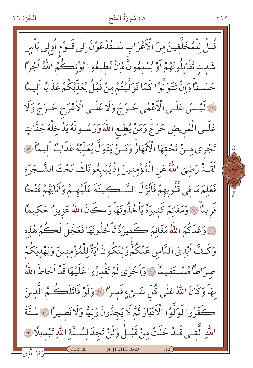## ٤٨ سُورَةُ الْفَتْح

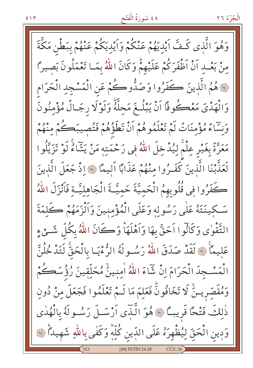# ٤٨ سُورَةُ الْفَتْحِ

وَهُوَ الَّذِى كَـفَّ أَيْدِيَهُمْ عَنْكُمْ وَأَيْدِيكُمْ عَنْهُمْ بِبَطْنِ مَكَّةَ مِنْ بَعْبِ أَنْ أَظْفَرَكُمْ عَلَيْهِمْ وَكَانَ اللَّهُ بِمَـا تَعْمَلُونَ بَصيراً فَعَهُمُ الَّذِينَ كَفَرُوا وَصَدُّوكُمْ عَنِ الْمَسْجِدِ الْحَرَامِ وَالْهَدْيَ مَعْكُوفًا أَنْ يَبْلُغَ مَحلَّهٌ وَلَوْلَا رجَالٌ مُؤْمِنُونَ وَنَسَاءٌ مُؤْمِنَاتٌ لَمْ تَعْلَمُوهُمْ اَنْ تَطَؤُهُمْ فَتُصِيبَكُمْ مِنْهُمْ مَعَرَّةٌ بِغَيْرِ عِلْمٌ لِيُدْخِلَ اللَّهُ فِي رَحْمَتِهِ مَنْ يَشَاءُ لَوْ تَزَيَّلُوا لَعَذَّبْنَا الَّذِينَ كَفَـرُوا مِنْهُمْ عَذَابًا اليمَّا ۞ إذْ جَعَلَ الَّذِينَ كَفَرُوا فِي قُلُوبِهِمُ الْحَمِيَّةَ حَمِيَّـةَ الْجَاهِلِيَّـة فَأَنْزَلَ اللَّهُ سَكِينَتَهُ عَلَى رَسُولِهِ وَعَلَى الْمُؤْمِنِينَ وَالْزَمَهُمْ كَلِمَةَ التَّقْوٰى وَكَأْنُوا اَحَقَّ بِهَا وَاَهْلَهَا وَكَانَ اللَّهُ بِكُلِّ شَئْءٍ عَليمًا ۞ لَقَدْ صَدَقَ اللَّهُ رَسُولَهُ الرُّءْيَـا بِالْحَقُّ لَتَدْ خُلُنَّ الْمَسْجِدَ الْحَرَامَ إِنْ شَاءَ اللَّهُ اٰمِنِينُ مُحَلِّقِينَ رُؤُسَكُمْ وَمُقَصَّرِيـنٌ لَا تَخَافُونَّ فَعَلِمَ مَا لَـمْ تَعْلَمُوا فَجَعَلَ مِنْ دُونِ ذٰلكَ فَتْحًا قَرِيبًا ۞ هُوَ الَّذِّي أَرْسَـلَ رَسُـولَهُ بِالْهُدٰي وَدِينِ الْحَقِّ لِيُظْهِرَهُ عَلَى اللَّاينِ كُلِّهٍ وَكَفٰى بِاللَّهِ شَهِيداً ۚ ۞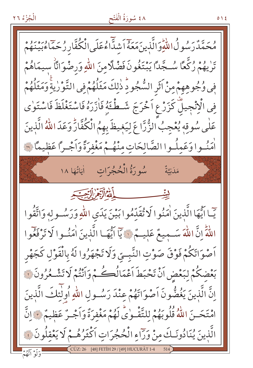## ٤٨ سُورَةُ الْفَتْح

 $0 \setminus 2$ 

يَحَمَّدُّرَسُو لُاللَّهِ وَالَّذِينَ مَعَهُ أَشدَّاءُعَلَى الْكُفَّارِ زُجَمَّاءُبَيْنَهُمْ تَرْيْهُمْ رُكَّعًا سُـجَّدًا يَبْتَغُونَ فَضْلًا مِنَ اللّهِ وَرِضْوَانَّا سيمَاهُمْ فِي وُجُوهِهِمْ مِنْ آثَرِ السُّجُودِّ ذٰلِكَ مَثَلُهُمْ فِي التَّوْرٰيةِ وَمَثَلُهُمْ فِي الْإِنْجِيلِّ كَزَرْعِ اَخْرَجَ شَطْئَهُ فَازَرَهُ فَاسْتَغْلَظَ فَاسْتَوٰى عَلٰى سُوقِهٖ يُعْجِبُ الزُّرَّاعَ لِيَغِيظَ بِهِمُ الْكُفَّارِّ وَعَدَ اللّٰهُ الَّذينَ أَمَنُوا وَعَمِلُوا الصَّالِحَاتِ مِنْهُـمْ مَغْفِرَةً وَأَجْـرًا عَظِيمًا فَة مَلَنِيَّةٌ بِيِّنِيْتِ مِسْتَسْمَعَ اللَّهُ الْآيَوْمِ إِلَى حِيَاتِهِ يٓـا ايُّهَا الَّذِينَ اٰمَنُوا لَا تُقَدِّمُوا بَيْنَ يَدَىِ اللّهِ وَرَسُـولِهِ وَاتَّقُوا اللَّهِّ إِنَّ اللَّهَ سَـمِيعٌ عَلِيـمٌ ۞ يَاۤ أَيُّهَـا الَّذِينَ اٰمَنُـوا لَا تَرْفَعُوا اَصْوَاتَكُمْ فَوْقَ صَوْتِ النَّبِـيِّ وَلَا تَجْهَزُوا لَهُ بِالْقَوْلِ كَجَهْرِ بَعْضِكُمْ لِبَعْضِ اَنْ تَحْبَطَ اَعْمَالُكُمْ مِ وَاَنْتُمْ لَا تَشْكُرُونَ لَهَ إِنَّ الَّذِينَ يَغُضُّونَ اَصْوَاتَهُمْ عِنْدَ رَسُولِ اللَّهِ أُولَٰٓئِكَ الَّذِينَ امْتَحَـنَ اللَّهُ قُلُوبَهُمْ لِلتَّقْـوٰيِّ لَهُمْ مَغْفِرَةٌ وَاَجْـرٌ عَظِيمٌ ﴾ اِنَّ الَّذِينَ يُنَادُونَـكَ مِنْ وَرَاءِ الْحُجُرَاتِ اكْثَرُهُـمْ لَا يَعْقِلُونَ ۞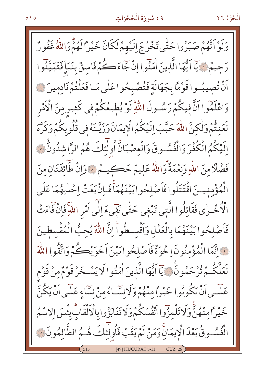#### ٤٩ سُورَةُ الْحُجُرَاتِ

وَلَوْ أَنَّهُمْ صَبَرُوا حَتَّى تَخْرُجَ إِلَيْهِمْ لَكَانَ خَيْراً لَهُمْ وَاللَّهُ غَفُورٌ رَحِيمٌ ﴾ يَاۤاَيُّهَا الَّذِينَ اٰمَنُوا اِنْ جَاءَكُمْ فَاسِقٌ بِنَبَأٍ فَتَبَيَّنُوا اَنْ تُصِيبُوا قَوْمًا بِجَهَالَةِ فَتُصْبِحُوا عَلَى مَـا فَعَلْتُمْ نَادِمِينَ ۞ وَاعْلَمُوا اَنَّ فِيكُمْ رَسُـولَ اللَّهِ لَوْ يُطيعُكُمْ فِي كَثِيرِ مِنَ الْآمْر لَعَنتُمْ وَلٰكِنَّ اللَّهَ حَبَّبَ إِلَيْكُمُ الْابِمَانَ وَرَيَّـنَهُ فِي قُلُوبِكُمْ وَكَرَّهَ اِلَيْكُمُ الْكُفْرَ وَالْفُسُوقَ وَالْعِصْيَانِّ أُولَٰئِكَ هُمُ الرَّاشْدُونَٰ ﴾ فَضْلًا مِنَ اللَّهِ وَنِعْمَةً وَاللَّهُ عَلِيمٌ حَكِيمٌ ﴾ وَإِنْ طَائِفَتَانِ مِنَ الْمُؤْمِنِيسَ اقْتَتَلُوا فَاَصْلِحُوا بَيْنَهُمَاْ فَبِانْ بَغَتْ إِحْدٰيهُمَا عَلَى الْأُخْـرٰى فَقَاتِلُوا الَّتبي تَبْغِي حَتّٰى تَفَيءَ اِلٰى اَمْرِ اللّٰہِ فَإِنْ فَاءَتْ فَاَصْلِحُوا بَيْنَهُمَا بِالْعَدْلِ وَأَقْسِطُواً إِنَّ اللَّهَ يُحِبُّ الْمُقْسطينَ نَّ انَّمَا الْمُؤْمِنُونَ اِ خُوَةٌ فَأَصْلِحُوا بَيْنَ اَخَوَيْڪُمْ وَاتَّقُوا اللَّهَ لَعَلَّكُمْ تُرْحَمُونَ ۚ إِنَّ إِيُّهَا الَّذِينَ اٰمَنُوا لَا يَسْخَرْ قَوْمٌ مِنْ قَوْم عَسْمِي اَنْ يَكُونُوا خَيْرًا مِنْهُمْ وَلَانِسَّاءٌ مِنْ نِسَاءٍ عَسَى اَنْ يَكُنَّ خَيْراً مِنْهُنٌّ وَلَا تَلْمِزُوا انْفُسَكُمْ وَلَا تَنَابَزُوا بِالْأَلْقَابِ بِئْسَ الاسْمُ الْفُسُوقُ بَعْدَ الْإِيمَانِّ وَمَنْ لَمْ يَتُبْ فَأُولَٰٓئِكَ هُـمُ الظَّالِمُونَ ۞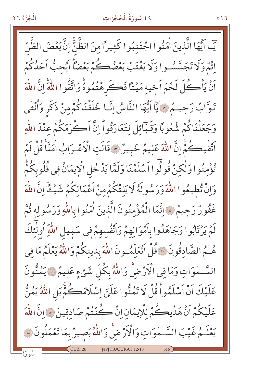#### ٤٩ سُورَةُ الْحُجُرَاتِ

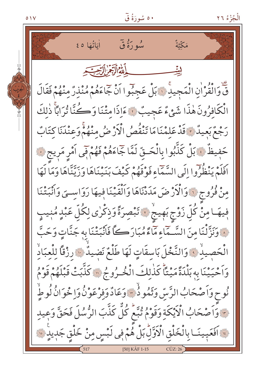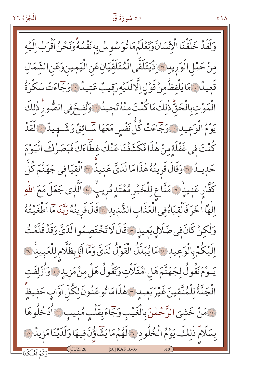#### ٥٠ سُورَةُ ق

وَلَقَدْ خَلَقْنَا الْإِنْسَانَ وَنَعْلَمُ مَا تُوَسْوِسُ بِهِ نَفْسُهُ وَنَحْنُ أَقْرَبُ إِلَيْهِ مِنْ حَبْلِ الْوَرِي*دِ*رْ الْأَيَتَلَقَّى الْمُتَلَقِّيَانِعَنِ الْيَمِينِ وَعَنِ الشَّمَالِ قَعِيدٌ ٧ مَا يَلْفظُ مِنْ قَوْلِ اِلَّا لَدَيْهِ رَقِيبٌ عَتِيدٌ ٧ وَجَاءَتْ سَكْرَةُ الْمَوْتِ بِالْحَقِّ ذٰلِكَ مَا كُنْتَ مِنْهُ تَجِيدُ ۚ وَنُفِخَ فِي الصُّورِ ذٰلِكَ يَوْمُ الْوَعِيدِ ﴾ وَجَمَاءَتْ كُلَّ نَفْسٍ مَعَهَا سَّـائِقٌ وَشَــهِيدٌ ۞ لَقَدْ كُنْتَ فِي غَفْلَةِ مِنْ هٰذَا فَكَشَفْنَا عَنْكَ غطَّاءَكَ فَبَصَرُكَ الْيَوْمَ حَدِيثُهُ ۚ وَقَالَ قَرِينُهُ هٰذَا مَا لَدَىَّ عَتِيدٌ ۞ اَلْقِيَا فِي جَهَنَّمَ كُلَّ كَفَّارِ عَنِيدٌ ۚ مَنَّا عِ لِلْخَيْرِ مُعْتَدٍ مُرِيبٍ ۚ ۚ اَلَّذِى جَعَلَ مَعَ اللّٰهِ اللها الخرَ فَالْقِيَاهُ فِي الْعَذَابِ الشَّدِيدِ ٢٠ قَالَ قَرِينُهُ رَبَّنَاهَا اَطْغَيْتُهُ وَلْكِنْ كَانَ فِي ضَلَالٍ بَعِيدٍ ﴾ قَالَ لَا تَخْتَصِمُوا لَدَيَّ وَقَدْ قَدَّمْتُ اِلَيْكُمْ بِالْوَعِيدِ ﴾ مَا يُبَدَّلُ الْقَوْلُ لَدَىَّ وَمَا أَيَابِظَلَّامِ لِلْعَبِيدِ ﴾ يَــوْمَ نَقُولُ لِجَهَنَّمَ هَل امْتَلَاّتِ وَتَقُولُ هَلْ مِنْ مَزِيدِ ٣٠ وَأُزْلِفَتِ الْجَنَّةُ لِلْمُتَّقِينَ غَيْرَبَعِيدٍ ۞ هٰذَامَا تُوعَدُونَ لِكُلَّ اَوَّابٍ حَفِيظٍ ٣مَنْ خَشِيَ الرَّحْمٰنَ بِالْغَيْبِ وَجَّاءَ بِقَلْبٍ مُنِيبٍ ٣ أَدْخُلُوهَا بِسَلَامٌ ذٰلِكَ يَوْمُ الْخُلُودِ \* لَهُمْ مَا يَشَاؤُنَ فِيهَا وَلَدَيْنَا مَزِيدٌ \* [50] KÂF 16-35

 $0<sub>1</sub>$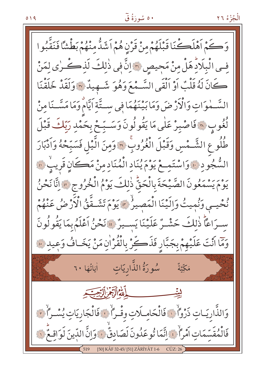وَكَمْ أَهْلَكْنَا قَبْلَهُمْ مِنْ قَرْنِ هُمْ أَشَدُّ مِنْهُمْ بَطْشًا فَنَقَّبُوا فِي الْبِلَادِ هَلْ مِنْ مَجِيصِ ۞ إِنَّ فِي ذٰلِكَ لَذِكْرِي لِمَنْ كَانَ لَهُ قَلْبٌ أَوْ اَلْقَى السَّـمْعَ وَهُوَ شَـهِيدٌ ٣ وَلَقَدْ خَلَقْنَا السَّـمٰوَاتِ وَالْأَرْضَ وَمَا بَيْنَهُمَا فِي سِـتَّةِ اَيَّامْ وَمَا مَسَّـنَا مِنْ لُغُوبِ ۞ فَاصْبِرْ عَلَى مَا يَقُولُونَ وَسَـبِّحْ بِحَمْدِ رَبِّكَ قَبْلَ طُلُو عِ الشَّـمْسِ وَقَبْلَ الْغُرُوبِ ۞ وَمِنَ الَّيْلِ فَسَبِّحْهُ وَاَدْبَارَ السُّجُودِ ﴾ وَاسْتَمِعْ يَوْمَ يُنَادِ الْمُنَادِمِنْ مَكَانِ قَرِيبٌ ۞ يوم يَسْمَعُونَ الصَّيْحَةَ بِالْحَقُّ ذٰلِكَ يَوْمُ الْخُرُوجِ \* إِنَّا نَحْنُ نُحْيِبِ وَنُمِيتُ وَالَيْنَا الْمَصِيرُ \* يَوْمَ تَشَـقَّقُ الْأَرْضُ عَنْهُمْ سرَاعًا ذٰلكَ حَشْـرٌ عَلَيْنَا يَســيرٌ \* نَحْنُ أَعْلَمُ بِمَا يَقُولُونَ وَمَا أَنْتَ عَلَيْهِمْ بِجَبَّارِ فَذَكِّرْ بِالْقُرْاٰنِ مَنْ يَخَافُ وَعِيدِ فَنَ مَكِّيَّةٌ لِيتِّ وَالذَّارِيَـاتِ ذَرْوَاً ۚ إِ فَالْحَامِـلَاتِ وقْـرَاً ۚ إِ فَالْجَارِيَاتِ يُسْـرَاً ۚ يَ فَالْمُقَسِّمَاتِ اَمْرَأُكَ اِنَّمَا تُوعَدُونَ لَصَادِقٌ ﴾ وَانَّ اللَّينَ لَوَاقِعٌ ۞